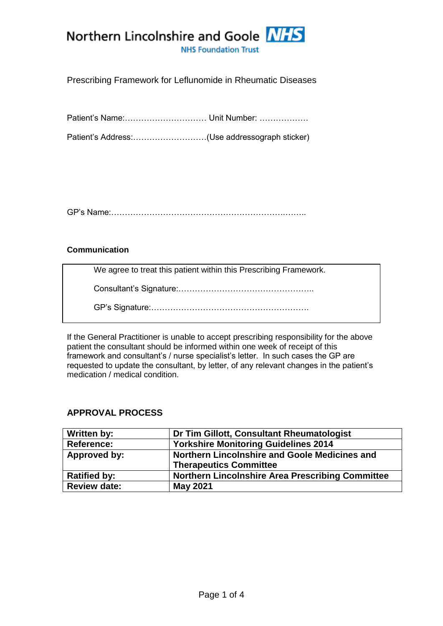

## Prescribing Framework for Leflunomide in Rheumatic Diseases

Patient's Name:………………………… Unit Number: ………………

Patient's Address:………………………(Use addressograph sticker)

GP's Name:……………………………………………………….……..

### **Communication**

We agree to treat this patient within this Prescribing Framework.

Consultant's Signature:…………………………………………..

GP's Signature:………………………………………………….

If the General Practitioner is unable to accept prescribing responsibility for the above patient the consultant should be informed within one week of receipt of this framework and consultant's / nurse specialist's letter. In such cases the GP are requested to update the consultant, by letter, of any relevant changes in the patient's medication / medical condition.

### **APPROVAL PROCESS**

| Written by:         | Dr Tim Gillott, Consultant Rheumatologist               |  |
|---------------------|---------------------------------------------------------|--|
| <b>Reference:</b>   | <b>Yorkshire Monitoring Guidelines 2014</b>             |  |
| Approved by:        | Northern Lincolnshire and Goole Medicines and           |  |
|                     | <b>Therapeutics Committee</b>                           |  |
| <b>Ratified by:</b> | <b>Northern Lincolnshire Area Prescribing Committee</b> |  |
| <b>Review date:</b> | <b>May 2021</b>                                         |  |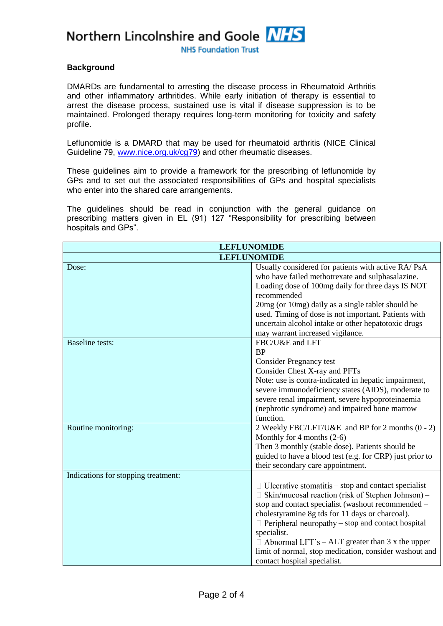Northern Lincolnshire and Goole NHS

**NHS Foundation Trust** 

### **Background**

DMARDs are fundamental to arresting the disease process in Rheumatoid Arthritis and other inflammatory arthritides. While early initiation of therapy is essential to arrest the disease process, sustained use is vital if disease suppression is to be maintained. Prolonged therapy requires long-term monitoring for toxicity and safety profile.

Leflunomide is a DMARD that may be used for rheumatoid arthritis (NICE Clinical Guideline 79, [www.nice.org.uk/cg79\)](file:///C:/Users/turkali/AppData/Local/Microsoft/Windows/Temporary%20Internet%20Files/Content.Outlook/AppData/Local/Microsoft/Windows/Temporary%20Internet%20Files/Content.Outlook/shared%20care%20frameworks%20drafts/rheumatology%20drafts/www.nice.org.uk/cg79) and other rheumatic diseases.

These guidelines aim to provide a framework for the prescribing of leflunomide by GPs and to set out the associated responsibilities of GPs and hospital specialists who enter into the shared care arrangements.

The guidelines should be read in conjunction with the general guidance on prescribing matters given in EL (91) 127 "Responsibility for prescribing between hospitals and GPs".

| <b>LEFLUNOMIDE</b>                  |                                                                                                                                                                                                                                                                                                                                                                                                                                                                |  |  |
|-------------------------------------|----------------------------------------------------------------------------------------------------------------------------------------------------------------------------------------------------------------------------------------------------------------------------------------------------------------------------------------------------------------------------------------------------------------------------------------------------------------|--|--|
| <b>LEFLUNOMIDE</b>                  |                                                                                                                                                                                                                                                                                                                                                                                                                                                                |  |  |
| Dose:                               | Usually considered for patients with active RA/ PsA<br>who have failed methotrexate and sulphasalazine.<br>Loading dose of 100mg daily for three days IS NOT<br>recommended<br>20mg (or 10mg) daily as a single tablet should be<br>used. Timing of dose is not important. Patients with<br>uncertain alcohol intake or other hepatotoxic drugs<br>may warrant increased vigilance.                                                                            |  |  |
| <b>Baseline</b> tests:              | FBC/U&E and LFT<br><b>BP</b><br><b>Consider Pregnancy test</b><br>Consider Chest X-ray and PFTs<br>Note: use is contra-indicated in hepatic impairment,<br>severe immunodeficiency states (AIDS), moderate to<br>severe renal impairment, severe hypoproteinaemia<br>(nephrotic syndrome) and impaired bone marrow<br>function.                                                                                                                                |  |  |
| Routine monitoring:                 | 2 Weekly FBC/LFT/U&E and BP for 2 months (0 - 2)<br>Monthly for 4 months $(2-6)$<br>Then 3 monthly (stable dose). Patients should be<br>guided to have a blood test (e.g. for CRP) just prior to<br>their secondary care appointment.                                                                                                                                                                                                                          |  |  |
| Indications for stopping treatment: | $\Box$ Ulcerative stomatitis – stop and contact specialist<br>$\Box$ Skin/mucosal reaction (risk of Stephen Johnson) –<br>stop and contact specialist (washout recommended -<br>cholestyramine 8g tds for 11 days or charcoal).<br>$\Box$ Peripheral neuropathy – stop and contact hospital<br>specialist.<br>$\Box$ Abnormal LFT's – ALT greater than 3 x the upper<br>limit of normal, stop medication, consider washout and<br>contact hospital specialist. |  |  |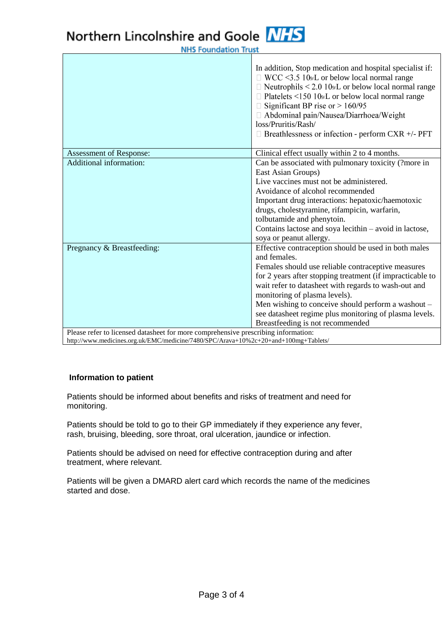# Northern Lincolnshire and Goole NHS

**NHS Foundation Trust** 

|                                                              | In addition, Stop medication and hospital specialist if:<br>$\Box$ WCC <3.5 10 <sub>9</sub> /L or below local normal range<br>$\Box$ Neutrophils < 2.0 10 <sub>9</sub> /L or below local normal range<br>$\Box$ Platelets <150 10 <sup>9</sup> /L or below local normal range<br>$\Box$ Significant BP rise or > 160/95<br>□ Abdominal pain/Nausea/Diarrhoea/Weight<br>loss/Pruritis/Rash/<br>$\Box$ Breathlessness or infection - perform CXR +/- PFT |  |
|--------------------------------------------------------------|--------------------------------------------------------------------------------------------------------------------------------------------------------------------------------------------------------------------------------------------------------------------------------------------------------------------------------------------------------------------------------------------------------------------------------------------------------|--|
| Assessment of Response:                                      | Clinical effect usually within 2 to 4 months.                                                                                                                                                                                                                                                                                                                                                                                                          |  |
| Additional information:                                      | Can be associated with pulmonary toxicity (?more in<br>East Asian Groups)                                                                                                                                                                                                                                                                                                                                                                              |  |
|                                                              | Live vaccines must not be administered.                                                                                                                                                                                                                                                                                                                                                                                                                |  |
|                                                              | Avoidance of alcohol recommended                                                                                                                                                                                                                                                                                                                                                                                                                       |  |
|                                                              | Important drug interactions: hepatoxic/haemotoxic                                                                                                                                                                                                                                                                                                                                                                                                      |  |
|                                                              | drugs, cholestyramine, rifampicin, warfarin,                                                                                                                                                                                                                                                                                                                                                                                                           |  |
|                                                              | tolbutamide and phenytoin.                                                                                                                                                                                                                                                                                                                                                                                                                             |  |
|                                                              | Contains lactose and soya lecithin - avoid in lactose,                                                                                                                                                                                                                                                                                                                                                                                                 |  |
|                                                              | soya or peanut allergy.                                                                                                                                                                                                                                                                                                                                                                                                                                |  |
| Pregnancy & Breastfeeding:                                   | Effective contraception should be used in both males                                                                                                                                                                                                                                                                                                                                                                                                   |  |
|                                                              | and females.                                                                                                                                                                                                                                                                                                                                                                                                                                           |  |
|                                                              | Females should use reliable contraceptive measures                                                                                                                                                                                                                                                                                                                                                                                                     |  |
|                                                              | for 2 years after stopping treatment (if impracticable to                                                                                                                                                                                                                                                                                                                                                                                              |  |
|                                                              | wait refer to datasheet with regards to wash-out and                                                                                                                                                                                                                                                                                                                                                                                                   |  |
|                                                              | monitoring of plasma levels).                                                                                                                                                                                                                                                                                                                                                                                                                          |  |
|                                                              | Men wishing to conceive should perform a washout -                                                                                                                                                                                                                                                                                                                                                                                                     |  |
|                                                              | see datasheet regime plus monitoring of plasma levels.                                                                                                                                                                                                                                                                                                                                                                                                 |  |
| Dlages refer to liganced detechant for more communicative in | Breastfeeding is not recommended<br>$\ddotsc$                                                                                                                                                                                                                                                                                                                                                                                                          |  |

Please refer to licensed datasheet for more comprehensive prescribing information: http://www.medicines.org.uk/EMC/medicine/7480/SPC/Arava+10%2c+20+and+100mg+Tablets/

### **Information to patient**

Patients should be informed about benefits and risks of treatment and need for monitoring.

Patients should be told to go to their GP immediately if they experience any fever, rash, bruising, bleeding, sore throat, oral ulceration, jaundice or infection.

Patients should be advised on need for effective contraception during and after treatment, where relevant.

Patients will be given a DMARD alert card which records the name of the medicines started and dose.